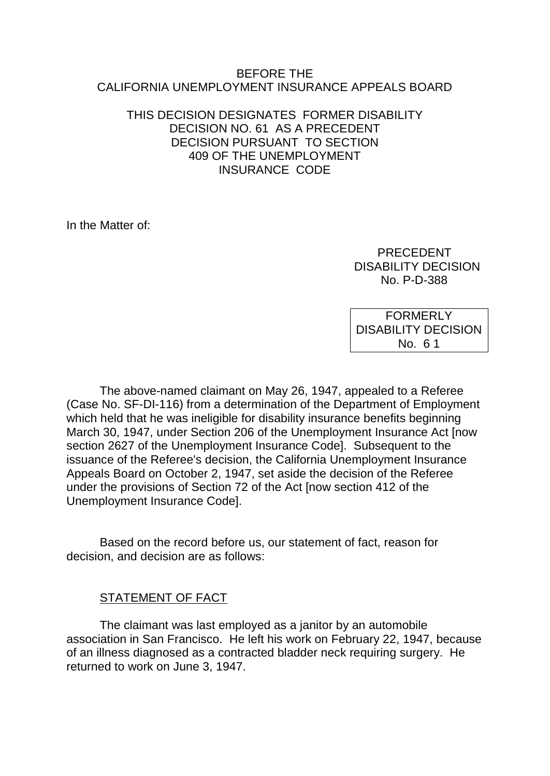#### BEFORE THE CALIFORNIA UNEMPLOYMENT INSURANCE APPEALS BOARD

#### THIS DECISION DESIGNATES FORMER DISABILITY DECISION NO. 61 AS A PRECEDENT DECISION PURSUANT TO SECTION 409 OF THE UNEMPLOYMENT INSURANCE CODE

In the Matter of:

 PRECEDENT DISABILITY DECISION No. P-D-388

FORMERLY DISABILITY DECISION No. 6 1

The above-named claimant on May 26, 1947, appealed to a Referee (Case No. SF-DI-116) from a determination of the Department of Employment which held that he was ineligible for disability insurance benefits beginning March 30, 1947, under Section 206 of the Unemployment Insurance Act [now section 2627 of the Unemployment Insurance Code]. Subsequent to the issuance of the Referee's decision, the California Unemployment Insurance Appeals Board on October 2, 1947, set aside the decision of the Referee under the provisions of Section 72 of the Act [now section 412 of the Unemployment Insurance Code].

Based on the record before us, our statement of fact, reason for decision, and decision are as follows:

# STATEMENT OF FACT

The claimant was last employed as a janitor by an automobile association in San Francisco. He left his work on February 22, 1947, because of an illness diagnosed as a contracted bladder neck requiring surgery. He returned to work on June 3, 1947.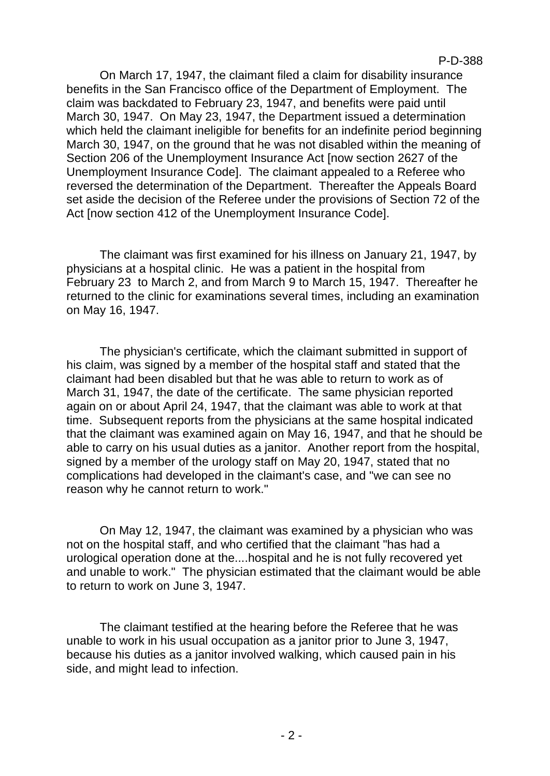On March 17, 1947, the claimant filed a claim for disability insurance benefits in the San Francisco office of the Department of Employment. The claim was backdated to February 23, 1947, and benefits were paid until March 30, 1947. On May 23, 1947, the Department issued a determination which held the claimant ineligible for benefits for an indefinite period beginning March 30, 1947, on the ground that he was not disabled within the meaning of Section 206 of the Unemployment Insurance Act [now section 2627 of the Unemployment Insurance Code]. The claimant appealed to a Referee who reversed the determination of the Department. Thereafter the Appeals Board set aside the decision of the Referee under the provisions of Section 72 of the Act [now section 412 of the Unemployment Insurance Code].

The claimant was first examined for his illness on January 21, 1947, by physicians at a hospital clinic. He was a patient in the hospital from February 23 to March 2, and from March 9 to March 15, 1947. Thereafter he returned to the clinic for examinations several times, including an examination on May 16, 1947.

The physician's certificate, which the claimant submitted in support of his claim, was signed by a member of the hospital staff and stated that the claimant had been disabled but that he was able to return to work as of March 31, 1947, the date of the certificate. The same physician reported again on or about April 24, 1947, that the claimant was able to work at that time. Subsequent reports from the physicians at the same hospital indicated that the claimant was examined again on May 16, 1947, and that he should be able to carry on his usual duties as a janitor. Another report from the hospital, signed by a member of the urology staff on May 20, 1947, stated that no complications had developed in the claimant's case, and "we can see no reason why he cannot return to work."

On May 12, 1947, the claimant was examined by a physician who was not on the hospital staff, and who certified that the claimant "has had a urological operation done at the....hospital and he is not fully recovered yet and unable to work." The physician estimated that the claimant would be able to return to work on June 3, 1947.

The claimant testified at the hearing before the Referee that he was unable to work in his usual occupation as a janitor prior to June 3, 1947, because his duties as a janitor involved walking, which caused pain in his side, and might lead to infection.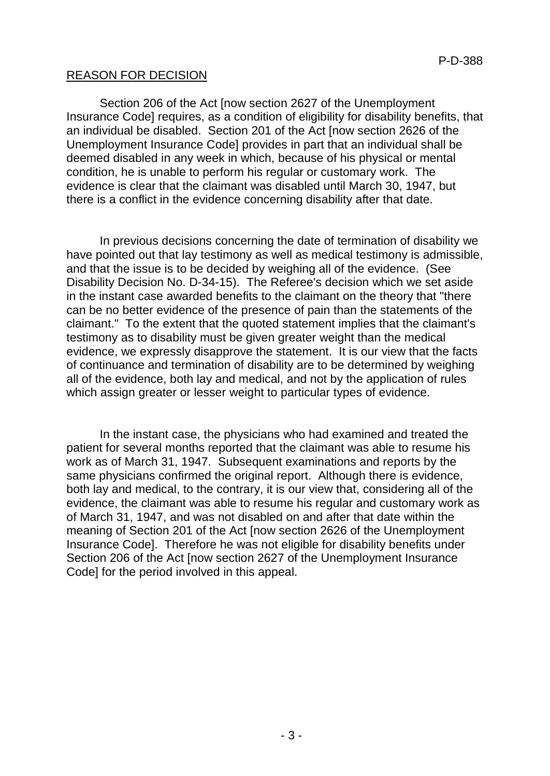# REASON FOR DECISION

Section 206 of the Act [now section 2627 of the Unemployment Insurance Code] requires, as a condition of eligibility for disability benefits, that an individual be disabled. Section 201 of the Act [now section 2626 of the Unemployment Insurance Code] provides in part that an individual shall be deemed disabled in any week in which, because of his physical or mental condition, he is unable to perform his regular or customary work. The evidence is clear that the claimant was disabled until March 30, 1947, but there is a conflict in the evidence concerning disability after that date.

In previous decisions concerning the date of termination of disability we have pointed out that lay testimony as well as medical testimony is admissible, and that the issue is to be decided by weighing all of the evidence. (See Disability Decision No. D-34-15). The Referee's decision which we set aside in the instant case awarded benefits to the claimant on the theory that "there can be no better evidence of the presence of pain than the statements of the claimant." To the extent that the quoted statement implies that the claimant's testimony as to disability must be given greater weight than the medical evidence, we expressly disapprove the statement. It is our view that the facts of continuance and termination of disability are to be determined by weighing all of the evidence, both lay and medical, and not by the application of rules which assign greater or lesser weight to particular types of evidence.

In the instant case, the physicians who had examined and treated the patient for several months reported that the claimant was able to resume his work as of March 31, 1947. Subsequent examinations and reports by the same physicians confirmed the original report. Although there is evidence, both lay and medical, to the contrary, it is our view that, considering all of the evidence, the claimant was able to resume his regular and customary work as of March 31, 1947, and was not disabled on and after that date within the meaning of Section 201 of the Act [now section 2626 of the Unemployment Insurance Code]. Therefore he was not eligible for disability benefits under Section 206 of the Act [now section 2627 of the Unemployment Insurance Code] for the period involved in this appeal.